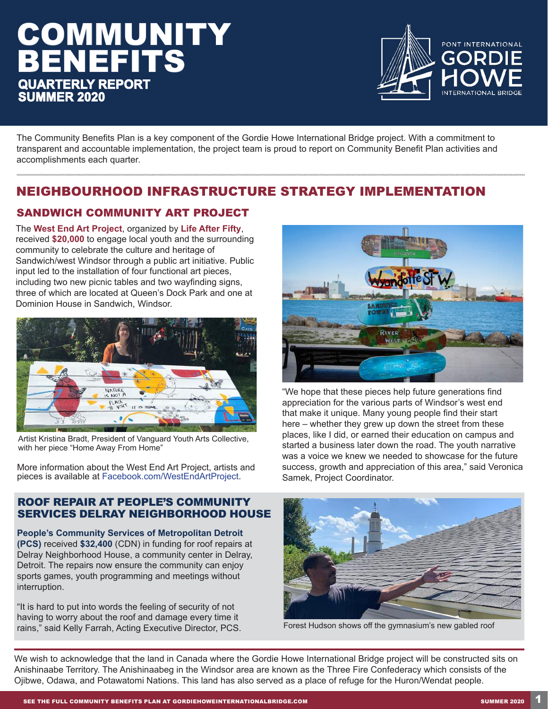# **COMMUNITY** BENEFITS **QUARTERLY REPORT SUMMER 2020**



The Community Benefits Plan is a key component of the Gordie Howe International Bridge project. With a commitment to transparent and accountable implementation, the project team is proud to report on Community Benefit Plan activities and accomplishments each quarter.

## NEIGHBOURHOOD INFRASTRUCTURE STRATEGY IMPLEMENTATION

## SANDWICH COMMUNITY ART PROJECT

The **West End Art Project**, organized by **Life After Fifty**, received **\$20,000** to engage local youth and the surrounding community to celebrate the culture and heritage of Sandwich/west Windsor through a public art initiative. Public input led to the installation of four functional art pieces, including two new picnic tables and two wayfinding signs, three of which are located at Queen's Dock Park and one at Dominion House in Sandwich, Windsor.



Artist Kristina Bradt, President of Vanguard Youth Arts Collective, with her piece "Home Away From Home"

More information about the West End Art Project, artists and pieces is available at Facebook.com/WestEndArtProject.

#### ROOF REPAIR AT PEOPLE'S COMMUNITY SERVICES DELRAY NEIGHBORHOOD HOUSE

**People's Community Services of Metropolitan Detroit (PCS)** received **\$32,400** (CDN) in funding for roof repairs at Delray Neighborhood House, a community center in Delray, Detroit. The repairs now ensure the community can enjoy sports games, youth programming and meetings without interruption.

"It is hard to put into words the feeling of security of not having to worry about the roof and damage every time it rains," said Kelly Farrah, Acting Executive Director, PCS.



"We hope that these pieces help future generations find appreciation for the various parts of Windsor's west end that make it unique. Many young people find their start here – whether they grew up down the street from these places, like I did, or earned their education on campus and started a business later down the road. The youth narrative was a voice we knew we needed to showcase for the future success, growth and appreciation of this area," said Veronica Samek, Project Coordinator.



Forest Hudson shows off the gymnasium's new gabled roof

We wish to acknowledge that the land in Canada where the Gordie Howe International Bridge project will be constructed sits on Anishinaabe Territory. The Anishinaabeg in the Windsor area are known as the Three Fire Confederacy which consists of the Ojibwe, Odawa, and Potawatomi Nations. This land has also served as a place of refuge for the Huron/Wendat people.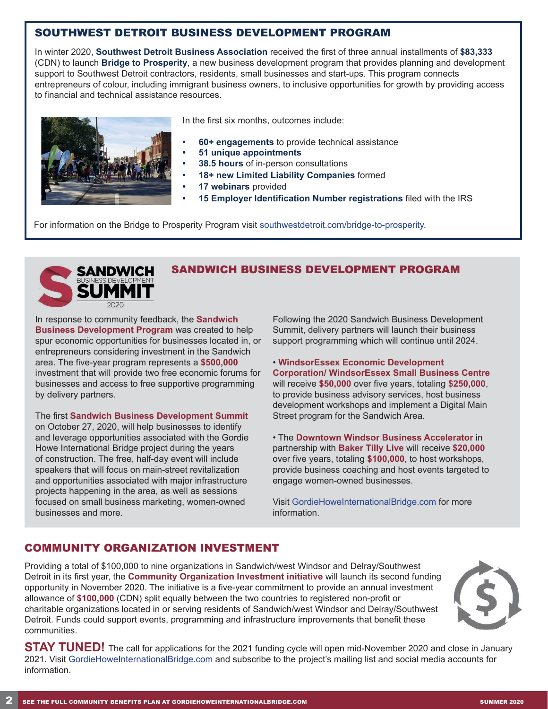## SOUTHWEST DETROIT BUSINESS DEVELOPMENT PROGRAM

In winter 2020, **Southwest Detroit Business Association** received the first of three annual installments of **\$83,333** (CDN) to launch **Bridge to Prosperity**, a new business development program that provides planning and development support to Southwest Detroit contractors, residents, small businesses and start-ups. This program connects entrepreneurs of colour, including immigrant business owners, to inclusive opportunities for growth by providing access to financial and technical assistance resources.



In the first six months, outcomes include:

- **• 60+ engagements** to provide technical assistance
- **• 51 unique appointments**
- **• 38.5 hours** of in-person consultations
- **• 18+ new Limited Liability Companies** formed
- **• 17 webinars** provided
- **• 15 Employer Identification Number registrations** filed with the IRS

For information on the Bridge to Prosperity Program visit southwestdetroit.com/bridge-to-prosperity.



## SANDWICH BUSINESS DEVELOPMENT PROGRAM

In response to community feedback, the **Sandwich Business Development Program** was created to help spur economic opportunities for businesses located in, or entrepreneurs considering investment in the Sandwich area. The five-year program represents a **\$500,000** investment that will provide two free economic forums for businesses and access to free supportive programming by delivery partners.

The first **Sandwich Business Development Summit**  on October 27, 2020, will help businesses to identify and leverage opportunities associated with the Gordie Howe International Bridge project during the years of construction. The free, half-day event will include speakers that will focus on main-street revitalization and opportunities associated with major infrastructure projects happening in the area, as well as sessions focused on small business marketing, women-owned businesses and more.

Following the 2020 Sandwich Business Development Summit, delivery partners will launch their business support programming which will continue until 2024.

• **WindsorEssex Economic Development Corporation/ WindsorEssex Small Business Centre** will receive **\$50,000** over five years, totaling **\$250,000**, to provide business advisory services, host business development workshops and implement a Digital Main Street program for the Sandwich Area.

• The **Downtown Windsor Business Accelerator** in partnership with **Baker Tilly Live** will receive **\$20,000** over five years, totaling **\$100,000**, to host workshops, provide business coaching and host events targeted to engage women-owned businesses.

Visit GordieHoweInternationalBridge.com for more information.

## COMMUNITY ORGANIZATION INVESTMENT

Providing a total of \$100,000 to nine organizations in Sandwich/west Windsor and Delray/Southwest Detroit in its first year, the **Community Organization Investment initiative** will launch its second funding opportunity in November 2020. The initiative is a five-year commitment to provide an annual investment allowance of **\$100,000** (CDN) split equally between the two countries to registered non-profit or charitable organizations located in or serving residents of Sandwich/west Windsor and Delray/Southwest Detroit. Funds could support events, programming and infrastructure improvements that benefit these communities.



**STAY TUNED!** The call for applications for the 2021 funding cycle will open mid-November 2020 and close in January 2021. Visit GordieHoweInternationalBridge.com and subscribe to the project's mailing list and social media accounts for information.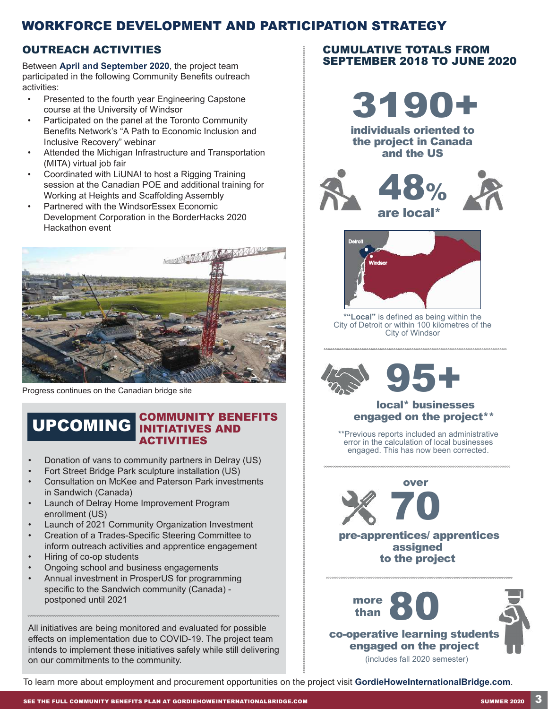## WORKFORCE DEVELOPMENT AND PARTICIPATION STRATEGY

## OUTREACH ACTIVITIES

Between **April and September 2020**, the project team participated in the following Community Benefits outreach activities:

- Presented to the fourth year Engineering Capstone course at the University of Windsor
- Participated on the panel at the Toronto Community Benefits Network's "A Path to Economic Inclusion and Inclusive Recovery" webinar
- Attended the Michigan Infrastructure and Transportation (MITA) virtual job fair
- Coordinated with LiUNA! to host a Rigging Training session at the Canadian POE and additional training for Working at Heights and Scaffolding Assembly
- Partnered with the WindsorEssex Economic Development Corporation in the BorderHacks 2020 Hackathon event



Progress continues on the Canadian bridge site

## UPCOMING COMMUNITY BENEFITS **ACTIVITIES**

- Donation of vans to community partners in Delray (US)
- Fort Street Bridge Park sculpture installation (US)
- Consultation on McKee and Paterson Park investments in Sandwich (Canada)
- Launch of Delray Home Improvement Program enrollment (US)
- Launch of 2021 Community Organization Investment
- Creation of a Trades-Specific Steering Committee to inform outreach activities and apprentice engagement
- Hiring of co-op students
- Ongoing school and business engagements
- Annual investment in ProsperUS for programming specific to the Sandwich community (Canada) postponed until 2021

All initiatives are being monitored and evaluated for possible effects on implementation due to COVID-19. The project team intends to implement these initiatives safely while still delivering on our commitments to the community.

#### CUMULATIVE TOTALS FROM SEPTEMBER 2018 TO JUNE 2020



individuals oriented to the project in Canada and the US





**\*"Local"** is defined as being within the City of Detroit or within 100 kilometres of the City of Windsor



#### local\* businesses engaged on the project\*\*

\*\*Previous reports included an administrative error in the calculation of local businesses engaged. This has now been corrected.



 pre-apprentices/ apprentices assigned to the project



To learn more about employment and procurement opportunities on the project visit **GordieHoweInternationalBridge.com**.